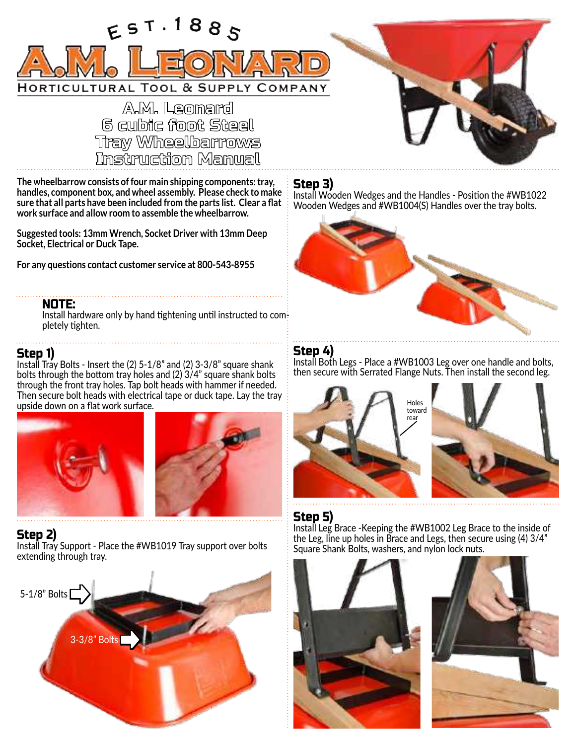

A.M. Leomard **6 cubic foot Steel** Tray Wheelbarrows<br>Instruction Manual

**The wheelbarrow consists of four main shipping components: tray, handles, component box, and wheel assembly. Please check to make sure that all parts have been included from the parts list. Clear a flat work surface and allow room to assemble the wheelbarrow.**

**Suggested tools: 13mm Wrench, Socket Driver with 13mm Deep Socket, Electrical or Duck Tape.**

**For any questions contact customer service at 800-543-8955**

#### NOTE:

Install hardware only by hand tightening until instructed to completely tighten.

### Step 1)

Install Tray Bolts - Insert the (2) 5-1/8" and (2) 3-3/8" square shank bolts through the bottom tray holes and (2) 3/4" square shank bolts through the front tray holes. Tap bolt heads with hammer if needed. Then secure bolt heads with electrical tape or duck tape. Lay the tray upside down on a flat work surface.





### Step 2)

Install Tray Support - Place the #WB1019 Tray support over bolts extending through tray.



## Step 3)

Install Wooden Wedges and the Handles - Position the #WB1022 Wooden Wedges and #WB1004(S) Handles over the tray bolts.



## Step 4)

Install Both Legs - Place a #WB1003 Leg over one handle and bolts, then secure with Serrated Flange Nuts. Then install the second leg.



## Step 5)

Install Leg Brace -Keeping the #WB1002 Leg Brace to the inside of the Leg, line up holes in Brace and Legs, then secure using (4) 3/4" Square Shank Bolts, washers, and nylon lock nuts.



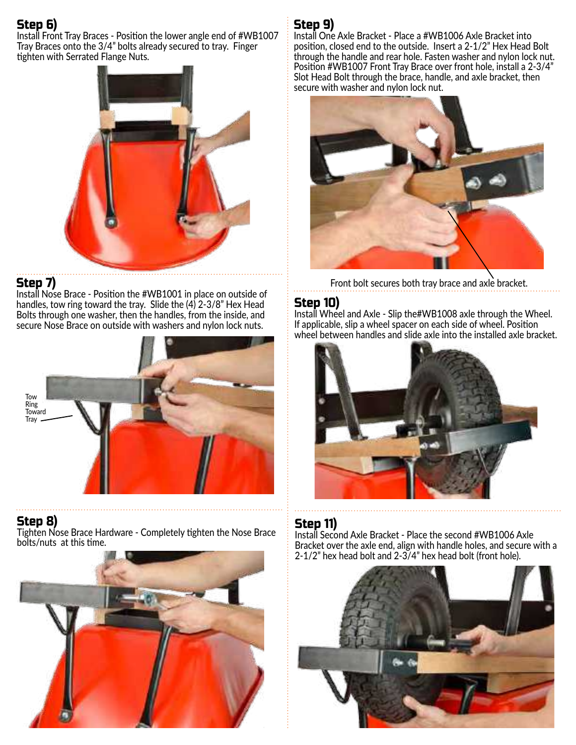# Step 6)

Install Front Tray Braces - Position the lower angle end of #WB1007 Tray Braces onto the 3/4" bolts already secured to tray. Finger tighten with Serrated Flange Nuts.



## Step 7)

Install Nose Brace - Position the #WB1001 in place on outside of handles, tow ring toward the tray. Slide the (4) 2-3/8" Hex Head Bolts through one washer, then the handles, from the inside, and secure Nose Brace on outside with washers and nylon lock nuts.



#### Step 8) Tighten Nose Brace Hardware - Completely tighten the Nose Brace bolts/nuts at this time.



# Step 9)

Install One Axle Bracket - Place a #WB1006 Axle Bracket into position, closed end to the outside. Insert a 2-1/2" Hex Head Bolt through the handle and rear hole. Fasten washer and nylon lock nut. Position #WB1007 Front Tray Brace over front hole, install a 2-3/4" Slot Head Bolt through the brace, handle, and axle bracket, then secure with washer and nylon lock nut.



Front bolt secures both tray brace and axle bracket.

## Step 10)

Install Wheel and Axle - Slip the#WB1008 axle through the Wheel. If applicable, slip a wheel spacer on each side of wheel. Position wheel between handles and slide axle into the installed axle bracket.



## Step 11)

Install Second Axle Bracket - Place the second #WB1006 Axle Bracket over the axle end, align with handle holes, and secure with a 2-1/2" hex head bolt and 2-3/4" hex head bolt (front hole).

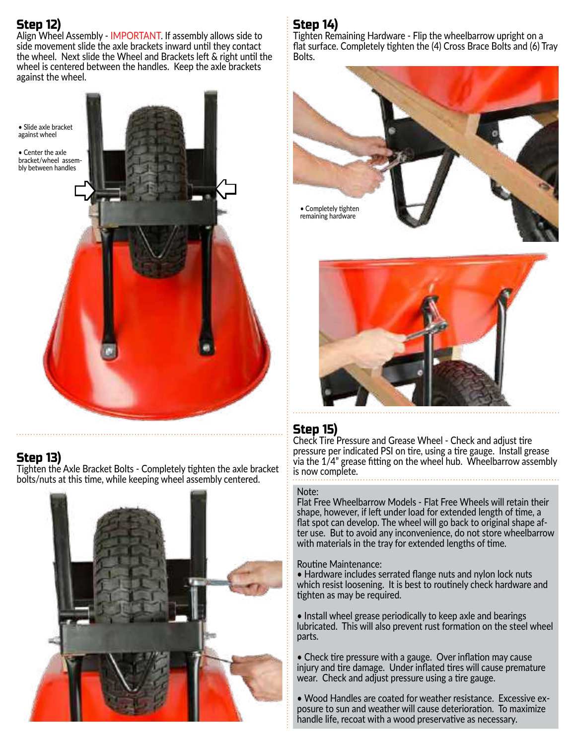# Step 12)

Align Wheel Assembly - IMPORTANT. If assembly allows side to side movement slide the axle brackets inward until they contact the wheel. Next slide the Wheel and Brackets left & right until the wheel is centered between the handles. Keep the axle brackets against the wheel.

• Slide axle bracket against wheel • Center the axle bracket/wheel assembly between handles  $\mathcal{L} = \mathcal{L}$ 

## Step 13)

Tighten the Axle Bracket Bolts - Completely tighten the axle bracket bolts/nuts at this time, while keeping wheel assembly centered.



# Step 14)

Tighten Remaining Hardware - Flip the wheelbarrow upright on a flat surface. Completely tighten the (4) Cross Brace Bolts and (6) Tray Bolts.





# Step 15)

Check Tire Pressure and Grease Wheel - Check and adjust tire pressure per indicated PSI on tire, using a tire gauge. Install grease via the 1/4" grease fitting on the wheel hub. Wheelbarrow assembly is now complete.

#### Note:

Flat Free Wheelbarrow Models - Flat Free Wheels will retain their shape, however, if left under load for extended length of time, a flat spot can develop. The wheel will go back to original shape after use. But to avoid any inconvenience, do not store wheelbarrow with materials in the tray for extended lengths of time.

#### Routine Maintenance:

• Hardware includes serrated flange nuts and nylon lock nuts which resist loosening. It is best to routinely check hardware and tighten as may be required.

• Install wheel grease periodically to keep axle and bearings lubricated. This will also prevent rust formation on the steel wheel parts.

• Check tire pressure with a gauge. Over inflation may cause injury and tire damage. Under inflated tires will cause premature wear. Check and adjust pressure using a tire gauge.

• Wood Handles are coated for weather resistance. Excessive exposure to sun and weather will cause deterioration. To maximize handle life, recoat with a wood preservative as necessary.